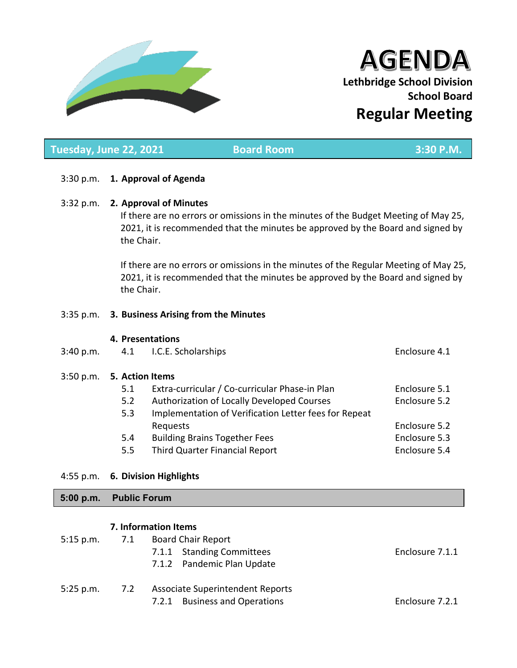

# AGENDA **Lethbridge School Division School Board Regular Meeting**

## **Tuesday, June 22, 2021 Consultant Board Room 3:30 P.M.**

## 3:30 p.m. **1. Approval of Agenda**

## 3:32 p.m. **2. Approval of Minutes**

If there are no errors or omissions in the minutes of the Budget Meeting of May 25, 2021, it is recommended that the minutes be approved by the Board and signed by the Chair.

If there are no errors or omissions in the minutes of the Regular Meeting of May 25, 2021, it is recommended that the minutes be approved by the Board and signed by the Chair.

## 3:35 p.m. **3. Business Arising from the Minutes**

## **4. Presentations**

- 3:40 p.m. 4.1 I.C.E. Scholarships Enclosure 4.1 3:50 p.m. **5. Action Items** 5.1 Extra-curricular / Co-curricular Phase-in Plan Enclosure 5.1 5.2 Authorization of Locally Developed Courses Enclosure 5.2 5.3 Implementation of Verification Letter fees for Repeat
	- Requests **Enclosure 5.2** 5.4 Building Brains Together Fees **Enclosure 5.3** 5.5 Third Quarter Financial Report Enclosure 5.4

## 4:55 p.m. **6. Division Highlights**

## **5:00 p.m. Public Forum**

## **7. Information Items**

| 5:15 p.m. | 7.1 | <b>Board Chair Report</b>               |                 |
|-----------|-----|-----------------------------------------|-----------------|
|           |     | 7.1.1 Standing Committees               | Enclosure 7.1.1 |
|           |     | 7.1.2 Pandemic Plan Update              |                 |
| 5:25 p.m. | 7.2 | <b>Associate Superintendent Reports</b> |                 |
|           |     | <b>Business and Operations</b><br>7.2.1 | Enclosure 7.2.1 |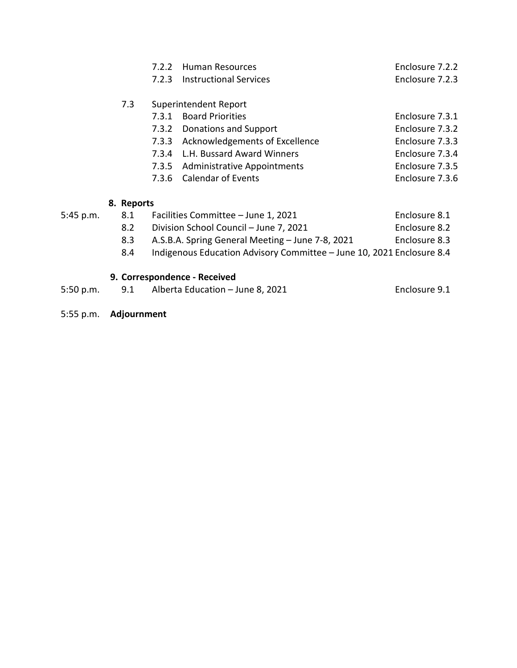|                | 7.2.2 | <b>Human Resources</b>             | Enclosure 7.2.2 |
|----------------|-------|------------------------------------|-----------------|
|                | 7.2.3 | <b>Instructional Services</b>      | Enclosure 7.2.3 |
|                |       |                                    |                 |
| 7.3            |       | Superintendent Report              |                 |
|                | 7.3.1 | <b>Board Priorities</b>            | Enclosure 7.3.1 |
|                |       | 7.3.2 Donations and Support        | Enclosure 7.3.2 |
|                | 7.3.3 | Acknowledgements of Excellence     | Enclosure 7.3.3 |
|                | 7.3.4 | L.H. Bussard Award Winners         | Enclosure 7.3.4 |
|                | 7.3.5 | <b>Administrative Appointments</b> | Enclosure 7.3.5 |
|                | 7.3.6 | <b>Calendar of Events</b>          | Enclosure 7.3.6 |
|                |       |                                    |                 |
| 92.<br>Ranorte |       |                                    |                 |

## **8. Reports**

| 5:45 p.m. | 8.1 | Facilities Committee - June 1, 2021                                   | Enclosure 8.1 |
|-----------|-----|-----------------------------------------------------------------------|---------------|
|           | 8.2 | Division School Council - June 7, 2021                                | Enclosure 8.2 |
|           | 8.3 | A.S.B.A. Spring General Meeting – June 7-8, 2021                      | Enclosure 8.3 |
|           | 8.4 | Indigenous Education Advisory Committee - June 10, 2021 Enclosure 8.4 |               |
|           |     |                                                                       |               |

# **9. Correspondence - Received**

| 5:50 p.m. |  | 9.1 Alberta Education - June 8, 2021 | Enclosure 9.1 |
|-----------|--|--------------------------------------|---------------|
|-----------|--|--------------------------------------|---------------|

5:55 p.m. **Adjournment**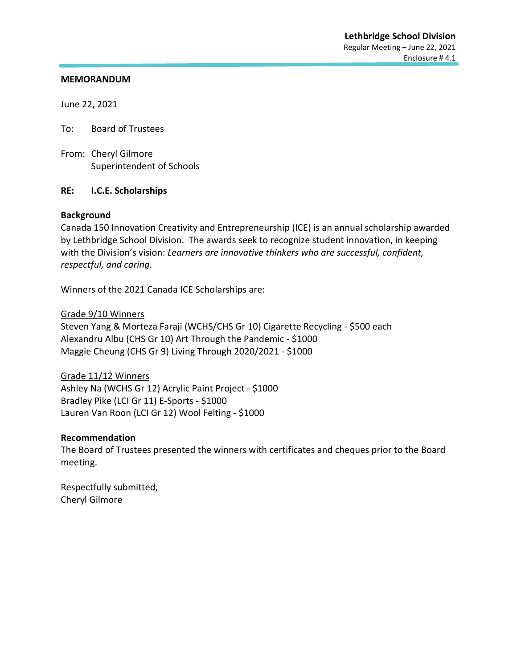June 22, 2021

To: Board of Trustees

From: Cheryl Gilmore Superintendent of Schools

#### **RE: I.C.E. Scholarships**

#### **Background**

Canada 150 Innovation Creativity and Entrepreneurship (ICE) is an annual scholarship awarded by Lethbridge School Division. The awards seek to recognize student innovation, in keeping with the Division's vision: *Learners are innovative thinkers who are successful, confident, respectful, and caring*.

Winners of the 2021 Canada ICE Scholarships are:

#### Grade 9/10 Winners

Steven Yang & Morteza Faraji (WCHS/CHS Gr 10) Cigarette Recycling - \$500 each Alexandru Albu (CHS Gr 10) Art Through the Pandemic - \$1000 Maggie Cheung (CHS Gr 9) Living Through 2020/2021 - \$1000

Grade 11/12 Winners Ashley Na (WCHS Gr 12) Acrylic Paint Project - \$1000 Bradley Pike (LCI Gr 11) E-Sports - \$1000 Lauren Van Roon (LCI Gr 12) Wool Felting - \$1000

#### **Recommendation**

The Board of Trustees presented the winners with certificates and cheques prior to the Board meeting.

Respectfully submitted, Cheryl Gilmore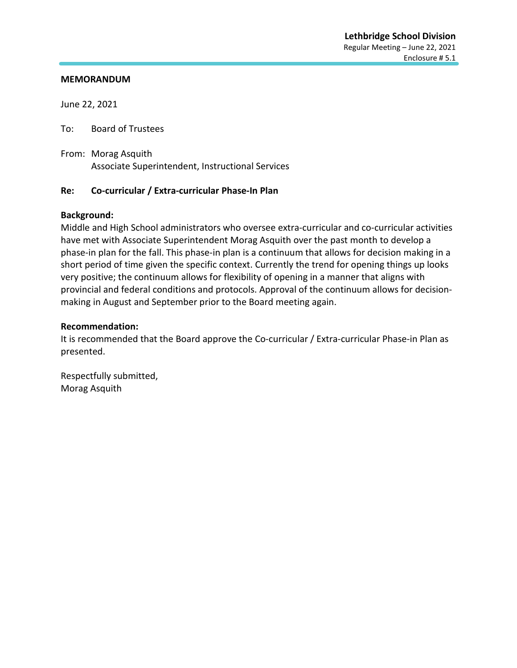June 22, 2021

To: Board of Trustees

From: Morag Asquith Associate Superintendent, Instructional Services

#### **Re: Co-curricular / Extra-curricular Phase-In Plan**

#### **Background:**

Middle and High School administrators who oversee extra-curricular and co-curricular activities have met with Associate Superintendent Morag Asquith over the past month to develop a phase-in plan for the fall. This phase-in plan is a continuum that allows for decision making in a short period of time given the specific context. Currently the trend for opening things up looks very positive; the continuum allows for flexibility of opening in a manner that aligns with provincial and federal conditions and protocols. Approval of the continuum allows for decisionmaking in August and September prior to the Board meeting again.

#### **Recommendation:**

It is recommended that the Board approve the Co-curricular / Extra-curricular Phase-in Plan as presented.

Respectfully submitted, Morag Asquith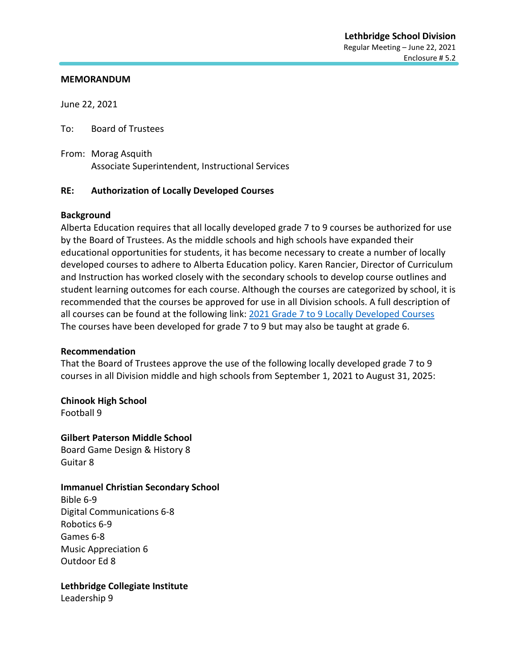June 22, 2021

To: Board of Trustees

From: Morag Asquith Associate Superintendent, Instructional Services

## **RE: Authorization of Locally Developed Courses**

#### **Background**

Alberta Education requires that all locally developed grade 7 to 9 courses be authorized for use by the Board of Trustees. As the middle schools and high schools have expanded their educational opportunities for students, it has become necessary to create a number of locally developed courses to adhere to Alberta Education policy. Karen Rancier, Director of Curriculum and Instruction has worked closely with the secondary schools to develop course outlines and student learning outcomes for each course. Although the courses are categorized by school, it is recommended that the courses be approved for use in all Division schools. A full description of all courses can be found at the following link: [2021 Grade 7 to 9 Locally Developed Courses](https://www.lethsd.ab.ca/download/353962) The courses have been developed for grade 7 to 9 but may also be taught at grade 6.

#### **Recommendation**

That the Board of Trustees approve the use of the following locally developed grade 7 to 9 courses in all Division middle and high schools from September 1, 2021 to August 31, 2025:

**Chinook High School** Football 9

**Gilbert Paterson Middle School** Board Game Design & History 8 Guitar 8

## **Immanuel Christian Secondary School**

Bible 6-9 Digital Communications 6-8 Robotics 6-9 Games 6-8 Music Appreciation 6 Outdoor Ed 8

**Lethbridge Collegiate Institute**

Leadership 9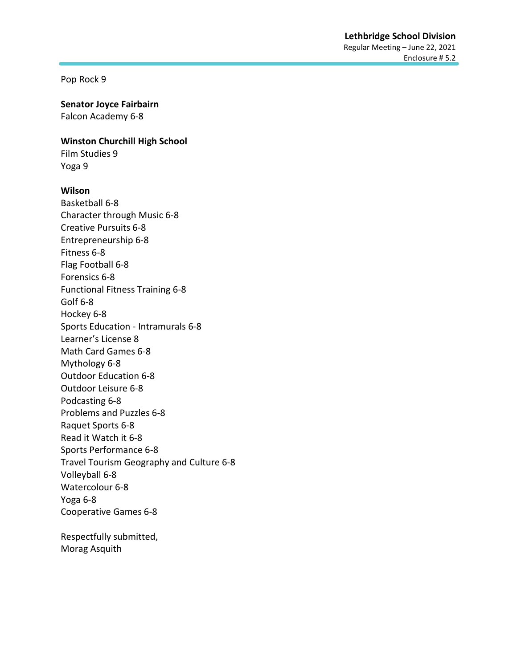Pop Rock 9

#### **Senator Joyce Fairbairn**

Falcon Academy 6-8

#### **Winston Churchill High School**

Film Studies 9 Yoga 9

#### **Wilson**

Basketball 6-8 Character through Music 6-8 Creative Pursuits 6-8 Entrepreneurship 6-8 Fitness 6-8 Flag Football 6-8 Forensics 6-8 Functional Fitness Training 6-8 Golf 6-8 Hockey 6-8 Sports Education - Intramurals 6-8 Learner's License 8 Math Card Games 6-8 Mythology 6-8 Outdoor Education 6-8 Outdoor Leisure 6-8 Podcasting 6-8 Problems and Puzzles 6-8 Raquet Sports 6-8 Read it Watch it 6-8 Sports Performance 6-8 Travel Tourism Geography and Culture 6-8 Volleyball 6-8 Watercolour 6-8 Yoga 6-8 Cooperative Games 6-8

Respectfully submitted, Morag Asquith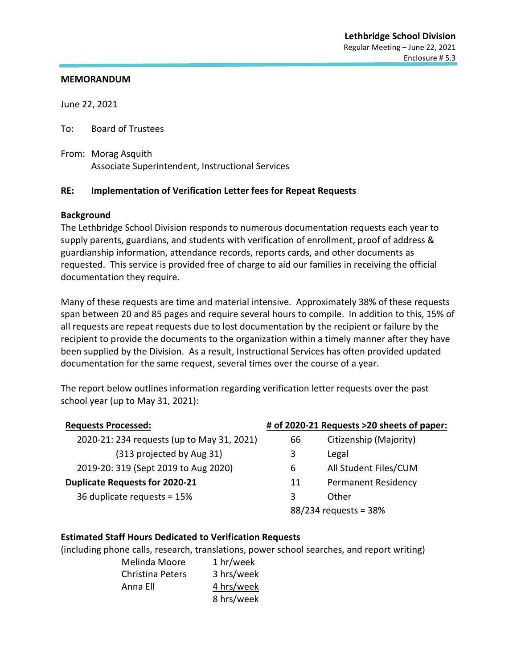June 22, 2021

To: Board of Trustees

From: Morag Asquith Associate Superintendent, Instructional Services

## **RE: Implementation of Verification Letter fees for Repeat Requests**

#### **Background**

The Lethbridge School Division responds to numerous documentation requests each year to supply parents, guardians, and students with verification of enrollment, proof of address & guardianship information, attendance records, reports cards, and other documents as requested. This service is provided free of charge to aid our families in receiving the official documentation they require.

Many of these requests are time and material intensive. Approximately 38% of these requests span between 20 and 85 pages and require several hours to compile. In addition to this, 15% of all requests are repeat requests due to lost documentation by the recipient or failure by the recipient to provide the documents to the organization within a timely manner after they have been supplied by the Division. As a result, Instructional Services has often provided updated documentation for the same request, several times over the course of a year.

The report below outlines information regarding verification letter requests over the past school year (up to May 31, 2021):

| <b>Requests Processed:</b>                 |    | # of 2020-21 Requests >20 sheets of paper: |
|--------------------------------------------|----|--------------------------------------------|
| 2020-21: 234 requests (up to May 31, 2021) | 66 | Citizenship (Majority)                     |
| (313 projected by Aug 31)                  | 3  | Legal                                      |
| 2019-20: 319 (Sept 2019 to Aug 2020)       | 6  | All Student Files/CUM                      |
| <b>Duplicate Requests for 2020-21</b>      | 11 | <b>Permanent Residency</b>                 |
| 36 duplicate requests = 15%                | 3  | Other                                      |
|                                            |    | 88/234 requests = 38%                      |

## **Estimated Staff Hours Dedicated to Verification Requests**

(including phone calls, research, translations, power school searches, and report writing)

Melinda Moore 1 hr/week Christina Peters 3 hrs/week Anna Ell 4 hrs/week 8 hrs/week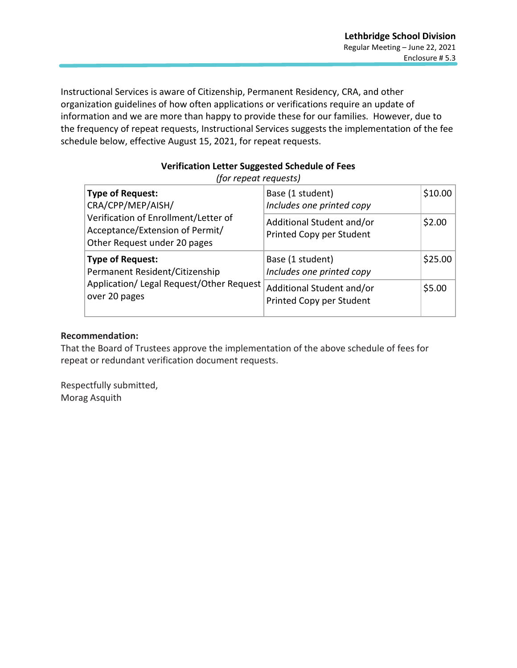Instructional Services is aware of Citizenship, Permanent Residency, CRA, and other organization guidelines of how often applications or verifications require an update of information and we are more than happy to provide these for our families. However, due to the frequency of repeat requests, Instructional Services suggests the implementation of the fee schedule below, effective August 15, 2021, for repeat requests.

## **Verification Letter Suggested Schedule of Fees**

*(for repeat requests)*

|                                                                                                         | <b>Type of Request:</b><br>CRA/CPP/MEP/AISH/ | Base (1 student)<br>Includes one printed copy         | \$10.00 |
|---------------------------------------------------------------------------------------------------------|----------------------------------------------|-------------------------------------------------------|---------|
| Verification of Enrollment/Letter of<br>Acceptance/Extension of Permit/<br>Other Request under 20 pages |                                              | Additional Student and/or<br>Printed Copy per Student | \$2.00  |
| <b>Type of Request:</b><br>Permanent Resident/Citizenship                                               |                                              | Base (1 student)<br>Includes one printed copy         | \$25.00 |
| over 20 pages                                                                                           | Application/ Legal Request/Other Request     | Additional Student and/or<br>Printed Copy per Student | \$5.00  |

## **Recommendation:**

That the Board of Trustees approve the implementation of the above schedule of fees for repeat or redundant verification document requests.

Respectfully submitted, Morag Asquith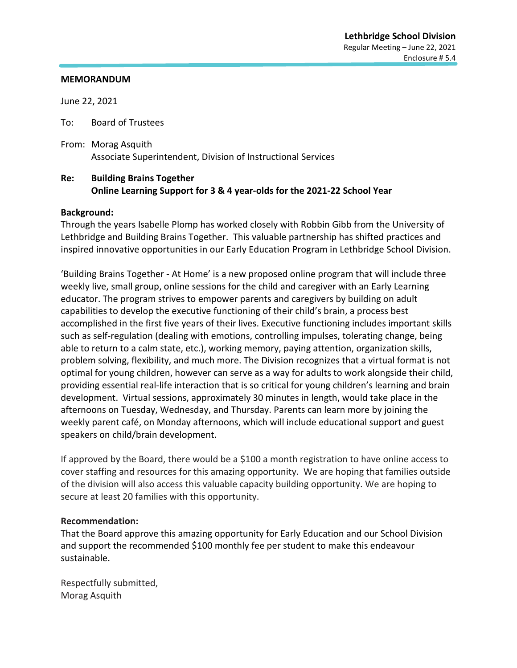June 22, 2021

To: Board of Trustees

From: Morag Asquith Associate Superintendent, Division of Instructional Services

## **Re: Building Brains Together Online Learning Support for 3 & 4 year-olds for the 2021-22 School Year**

#### **Background:**

Through the years Isabelle Plomp has worked closely with Robbin Gibb from the University of Lethbridge and Building Brains Together. This valuable partnership has shifted practices and inspired innovative opportunities in our Early Education Program in Lethbridge School Division.

'Building Brains Together - At Home' is a new proposed online program that will include three weekly live, small group, online sessions for the child and caregiver with an Early Learning educator. The program strives to empower parents and caregivers by building on adult capabilities to develop the executive functioning of their child's brain, a process best accomplished in the first five years of their lives. Executive functioning includes important skills such as self-regulation (dealing with emotions, controlling impulses, tolerating change, being able to return to a calm state, etc.), working memory, paying attention, organization skills, problem solving, flexibility, and much more. The Division recognizes that a virtual format is not optimal for young children, however can serve as a way for adults to work alongside their child, providing essential real-life interaction that is so critical for young children's learning and brain development. Virtual sessions, approximately 30 minutes in length, would take place in the afternoons on Tuesday, Wednesday, and Thursday. Parents can learn more by joining the weekly parent café, on Monday afternoons, which will include educational support and guest speakers on child/brain development.

If approved by the Board, there would be a \$100 a month registration to have online access to cover staffing and resources for this amazing opportunity. We are hoping that families outside of the division will also access this valuable capacity building opportunity. We are hoping to secure at least 20 families with this opportunity.

#### **Recommendation:**

That the Board approve this amazing opportunity for Early Education and our School Division and support the recommended \$100 monthly fee per student to make this endeavour sustainable.

Respectfully submitted, Morag Asquith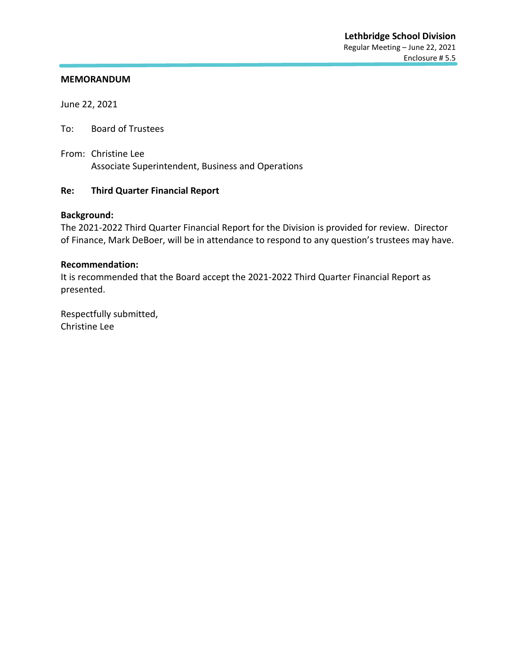June 22, 2021

To: Board of Trustees

From: Christine Lee Associate Superintendent, Business and Operations

## **Re: Third Quarter Financial Report**

#### **Background:**

The 2021-2022 Third Quarter Financial Report for the Division is provided for review. Director of Finance, Mark DeBoer, will be in attendance to respond to any question's trustees may have.

#### **Recommendation:**

It is recommended that the Board accept the 2021-2022 Third Quarter Financial Report as presented.

Respectfully submitted, Christine Lee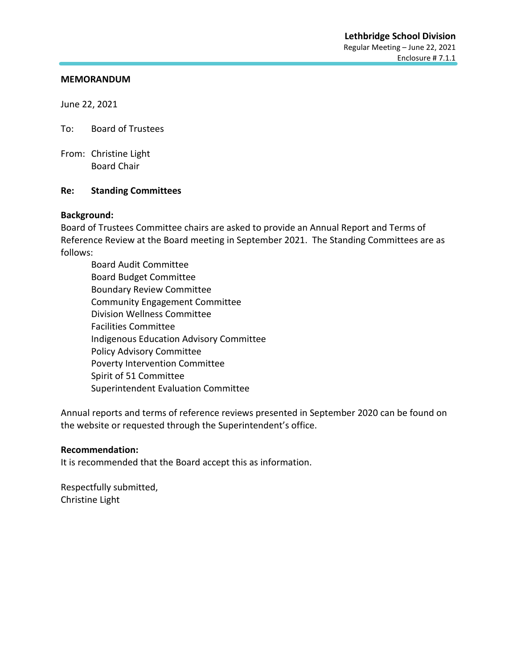June 22, 2021

To: Board of Trustees

From: Christine Light Board Chair

#### **Re: Standing Committees**

#### **Background:**

Board of Trustees Committee chairs are asked to provide an Annual Report and Terms of Reference Review at the Board meeting in September 2021. The Standing Committees are as follows:

Board Audit Committee Board Budget Committee Boundary Review Committee Community Engagement Committee Division Wellness Committee Facilities Committee Indigenous Education Advisory Committee Policy Advisory Committee Poverty Intervention Committee Spirit of 51 Committee Superintendent Evaluation Committee

Annual reports and terms of reference reviews presented in September 2020 can be found on the website or requested through the Superintendent's office.

#### **Recommendation:**

It is recommended that the Board accept this as information.

Respectfully submitted, Christine Light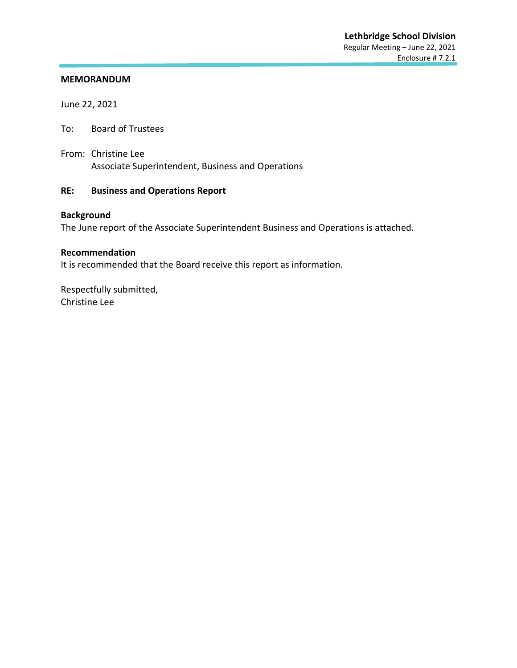June 22, 2021

To: Board of Trustees

From: Christine Lee Associate Superintendent, Business and Operations

## **RE: Business and Operations Report**

## **Background**

The June report of the Associate Superintendent Business and Operations is attached.

#### **Recommendation**

It is recommended that the Board receive this report as information.

Respectfully submitted, Christine Lee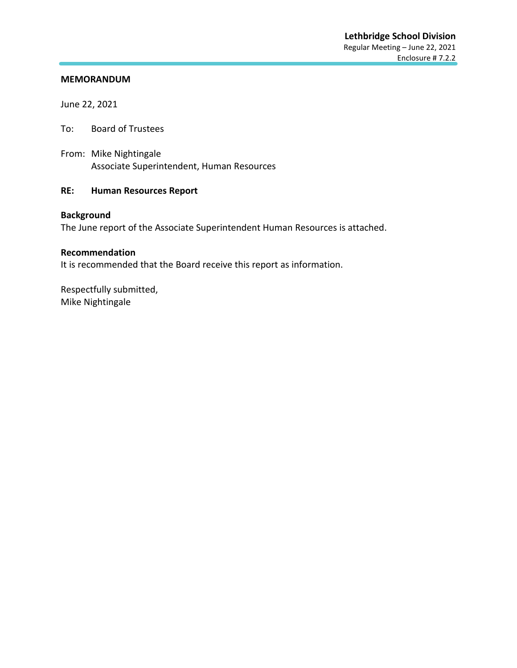June 22, 2021

To: Board of Trustees

From: Mike Nightingale Associate Superintendent, Human Resources

## **RE: Human Resources Report**

## **Background**

The June report of the Associate Superintendent Human Resources is attached.

#### **Recommendation**

It is recommended that the Board receive this report as information.

Respectfully submitted, Mike Nightingale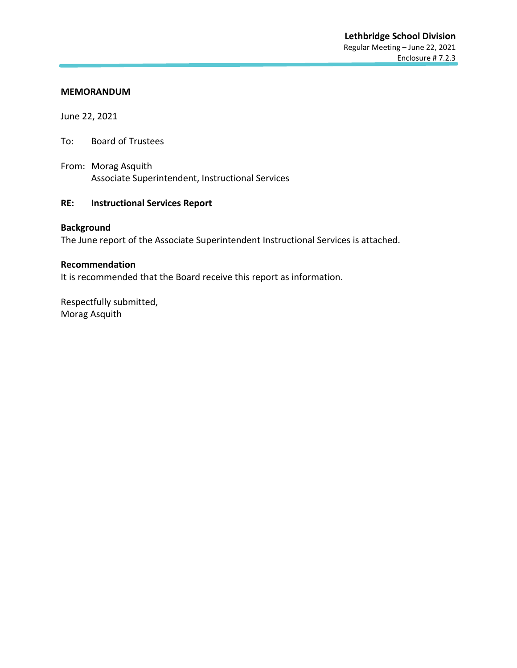June 22, 2021

- To: Board of Trustees
- From: Morag Asquith Associate Superintendent, Instructional Services

#### **RE: Instructional Services Report**

#### **Background**

The June report of the Associate Superintendent Instructional Services is attached.

#### **Recommendation**

It is recommended that the Board receive this report as information.

Respectfully submitted, Morag Asquith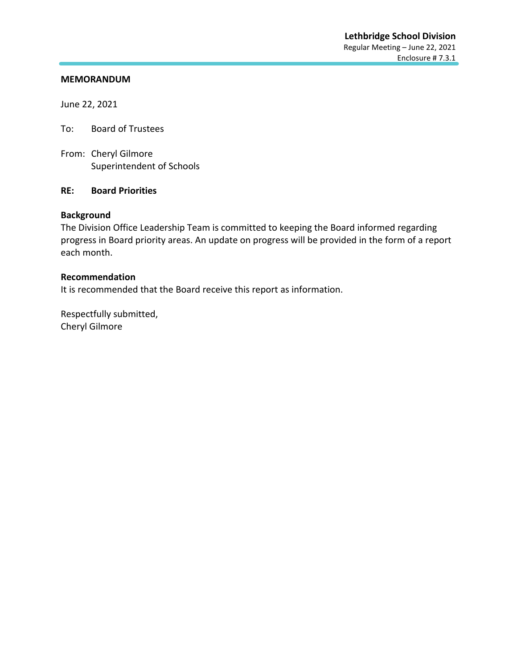June 22, 2021

To: Board of Trustees

From: Cheryl Gilmore Superintendent of Schools

#### **RE: Board Priorities**

#### **Background**

The Division Office Leadership Team is committed to keeping the Board informed regarding progress in Board priority areas. An update on progress will be provided in the form of a report each month.

#### **Recommendation**

It is recommended that the Board receive this report as information.

Respectfully submitted, Cheryl Gilmore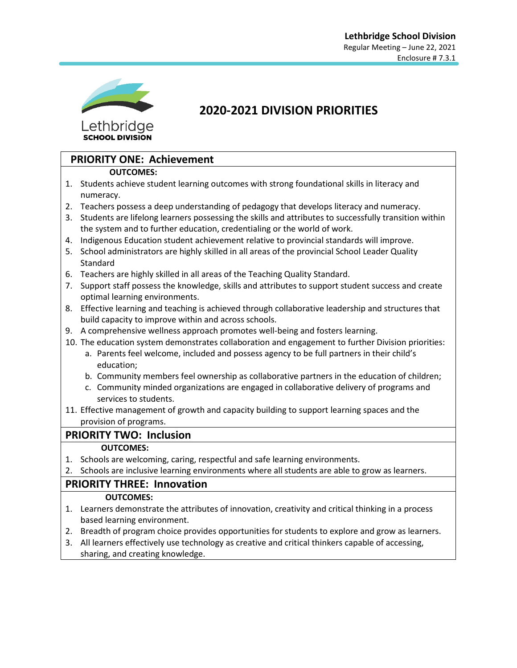

**SCHOOL DIVISION** 

# **2020-2021 DIVISION PRIORITIES**

# **PRIORITY ONE: Achievement**

## **OUTCOMES:**

- 1. Students achieve student learning outcomes with strong foundational skills in literacy and numeracy.
- 2. Teachers possess a deep understanding of pedagogy that develops literacy and numeracy.
- 3. Students are lifelong learners possessing the skills and attributes to successfully transition within the system and to further education, credentialing or the world of work.
- 4. Indigenous Education student achievement relative to provincial standards will improve.
- 5. School administrators are highly skilled in all areas of the provincial School Leader Quality Standard
- 6. Teachers are highly skilled in all areas of the Teaching Quality Standard.
- 7. Support staff possess the knowledge, skills and attributes to support student success and create optimal learning environments.
- 8. Effective learning and teaching is achieved through collaborative leadership and structures that build capacity to improve within and across schools.
- 9. A comprehensive wellness approach promotes well-being and fosters learning.
- 10. The education system demonstrates collaboration and engagement to further Division priorities:
	- a. Parents feel welcome, included and possess agency to be full partners in their child's education;
	- b. Community members feel ownership as collaborative partners in the education of children;
	- c. Community minded organizations are engaged in collaborative delivery of programs and services to students.
- 11. Effective management of growth and capacity building to support learning spaces and the provision of programs.

## **PRIORITY TWO: Inclusion**

## **OUTCOMES:**

- 1. Schools are welcoming, caring, respectful and safe learning environments.
- 2. Schools are inclusive learning environments where all students are able to grow as learners.

## **PRIORITY THREE: Innovation**

## **OUTCOMES:**

- 1. Learners demonstrate the attributes of innovation, creativity and critical thinking in a process based learning environment.
- 2. Breadth of program choice provides opportunities for students to explore and grow as learners.
- 3. All learners effectively use technology as creative and critical thinkers capable of accessing, sharing, and creating knowledge.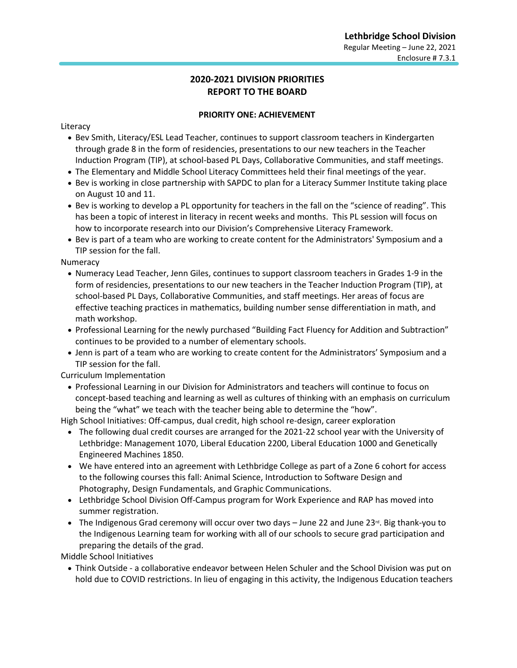## **2020-2021 DIVISION PRIORITIES REPORT TO THE BOARD**

#### **PRIORITY ONE: ACHIEVEMENT**

Literacy

- Bev Smith, Literacy/ESL Lead Teacher, continues to support classroom teachers in Kindergarten through grade 8 in the form of residencies, presentations to our new teachers in the Teacher Induction Program (TIP), at school-based PL Days, Collaborative Communities, and staff meetings.
- The Elementary and Middle School Literacy Committees held their final meetings of the year.
- Bev is working in close partnership with SAPDC to plan for a Literacy Summer Institute taking place on August 10 and 11.
- Bev is working to develop a PL opportunity for teachers in the fall on the "science of reading". This has been a topic of interest in literacy in recent weeks and months. This PL session will focus on how to incorporate research into our Division's Comprehensive Literacy Framework.
- Bev is part of a team who are working to create content for the Administrators' Symposium and a TIP session for the fall.

Numeracy

- Numeracy Lead Teacher, Jenn Giles, continues to support classroom teachers in Grades 1-9 in the form of residencies, presentations to our new teachers in the Teacher Induction Program (TIP), at school-based PL Days, Collaborative Communities, and staff meetings. Her areas of focus are effective teaching practices in mathematics, building number sense differentiation in math, and math workshop.
- Professional Learning for the newly purchased "Building Fact Fluency for Addition and Subtraction" continues to be provided to a number of elementary schools.
- Jenn is part of a team who are working to create content for the Administrators' Symposium and a TIP session for the fall.

Curriculum Implementation

• Professional Learning in our Division for Administrators and teachers will continue to focus on concept-based teaching and learning as well as cultures of thinking with an emphasis on curriculum being the "what" we teach with the teacher being able to determine the "how".

High School Initiatives: Off-campus, dual credit, high school re-design, career exploration

- The following dual credit courses are arranged for the 2021-22 school year with the University of Lethbridge: Management 1070, Liberal Education 2200, Liberal Education 1000 and Genetically Engineered Machines 1850.
- We have entered into an agreement with Lethbridge College as part of a Zone 6 cohort for access to the following courses this fall: Animal Science, Introduction to Software Design and Photography, Design Fundamentals, and Graphic Communications.
- Lethbridge School Division Off-Campus program for Work Experience and RAP has moved into summer registration.
- The Indigenous Grad ceremony will occur over two days  $-$  June 22 and June 23<sup>rd</sup>. Big thank-you to the Indigenous Learning team for working with all of our schools to secure grad participation and preparing the details of the grad.

Middle School Initiatives

• Think Outside - a collaborative endeavor between Helen Schuler and the School Division was put on hold due to COVID restrictions. In lieu of engaging in this activity, the Indigenous Education teachers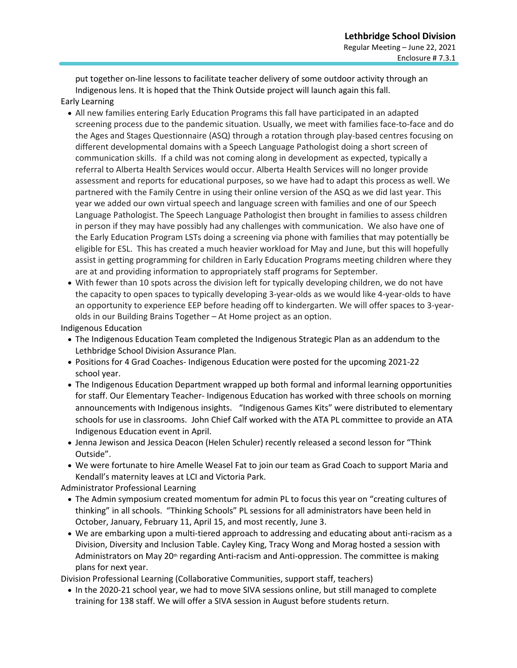put together on-line lessons to facilitate teacher delivery of some outdoor activity through an Indigenous lens. It is hoped that the Think Outside project will launch again this fall. Early Learning

- All new families entering Early Education Programs this fall have participated in an adapted screening process due to the pandemic situation. Usually, we meet with families face-to-face and do the Ages and Stages Questionnaire (ASQ) through a rotation through play-based centres focusing on different developmental domains with a Speech Language Pathologist doing a short screen of communication skills. If a child was not coming along in development as expected, typically a referral to Alberta Health Services would occur. Alberta Health Services will no longer provide assessment and reports for educational purposes, so we have had to adapt this process as well. We partnered with the Family Centre in using their online version of the ASQ as we did last year. This year we added our own virtual speech and language screen with families and one of our Speech Language Pathologist. The Speech Language Pathologist then brought in families to assess children in person if they may have possibly had any challenges with communication. We also have one of the Early Education Program LSTs doing a screening via phone with families that may potentially be eligible for ESL. This has created a much heavier workload for May and June, but this will hopefully assist in getting programming for children in Early Education Programs meeting children where they are at and providing information to appropriately staff programs for September.
- With fewer than 10 spots across the division left for typically developing children, we do not have the capacity to open spaces to typically developing 3-year-olds as we would like 4-year-olds to have an opportunity to experience EEP before heading off to kindergarten. We will offer spaces to 3-yearolds in our Building Brains Together – At Home project as an option.

Indigenous Education

- The Indigenous Education Team completed the Indigenous Strategic Plan as an addendum to the Lethbridge School Division Assurance Plan.
- Positions for 4 Grad Coaches- Indigenous Education were posted for the upcoming 2021-22 school year.
- The Indigenous Education Department wrapped up both formal and informal learning opportunities for staff. Our Elementary Teacher- Indigenous Education has worked with three schools on morning announcements with Indigenous insights. "Indigenous Games Kits" were distributed to elementary schools for use in classrooms. John Chief Calf worked with the ATA PL committee to provide an ATA Indigenous Education event in April.
- Jenna Jewison and Jessica Deacon (Helen Schuler) recently released a second lesson for "Think Outside".
- We were fortunate to hire Amelle Weasel Fat to join our team as Grad Coach to support Maria and Kendall's maternity leaves at LCI and Victoria Park.

Administrator Professional Learning

- The Admin symposium created momentum for admin PL to focus this year on "creating cultures of thinking" in all schools. "Thinking Schools" PL sessions for all administrators have been held in October, January, February 11, April 15, and most recently, June 3.
- We are embarking upon a multi-tiered approach to addressing and educating about anti-racism as a Division, Diversity and Inclusion Table. Cayley King, Tracy Wong and Morag hosted a session with Administrators on May 20<sup>th</sup> regarding Anti-racism and Anti-oppression. The committee is making plans for next year.

Division Professional Learning (Collaborative Communities, support staff, teachers)

• In the 2020-21 school year, we had to move SIVA sessions online, but still managed to complete training for 138 staff. We will offer a SIVA session in August before students return.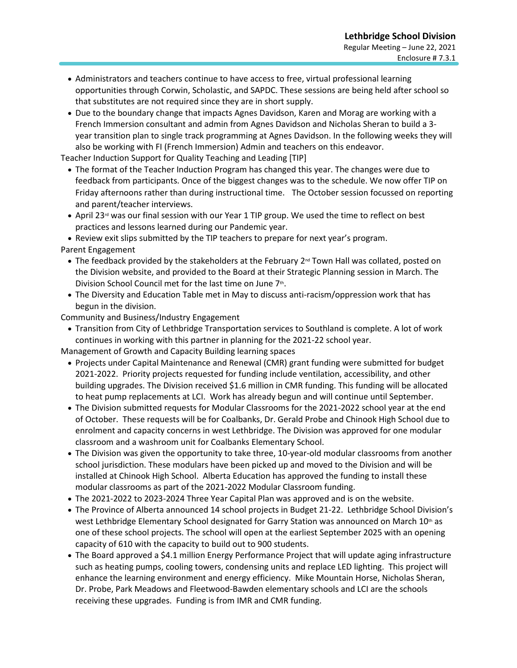- Administrators and teachers continue to have access to free, virtual professional learning opportunities through Corwin, Scholastic, and SAPDC. These sessions are being held after school so that substitutes are not required since they are in short supply.
- Due to the boundary change that impacts Agnes Davidson, Karen and Morag are working with a French Immersion consultant and admin from Agnes Davidson and Nicholas Sheran to build a 3 year transition plan to single track programming at Agnes Davidson. In the following weeks they will also be working with FI (French Immersion) Admin and teachers on this endeavor.

Teacher Induction Support for Quality Teaching and Leading [TIP]

- The format of the Teacher Induction Program has changed this year. The changes were due to feedback from participants. Once of the biggest changes was to the schedule. We now offer TIP on Friday afternoons rather than during instructional time. The October session focussed on reporting and parent/teacher interviews.
- April 23<sup>rd</sup> was our final session with our Year 1 TIP group. We used the time to reflect on best practices and lessons learned during our Pandemic year.

• Review exit slips submitted by the TIP teachers to prepare for next year's program.

Parent Engagement

- The feedback provided by the stakeholders at the February 2<sup>nd</sup> Town Hall was collated, posted on the Division website, and provided to the Board at their Strategic Planning session in March. The Division School Council met for the last time on June 7<sup>th</sup>.
- The Diversity and Education Table met in May to discuss anti-racism/oppression work that has begun in the division.

Community and Business/Industry Engagement

• Transition from City of Lethbridge Transportation services to Southland is complete. A lot of work continues in working with this partner in planning for the 2021-22 school year.

Management of Growth and Capacity Building learning spaces

- Projects under Capital Maintenance and Renewal (CMR) grant funding were submitted for budget 2021-2022. Priority projects requested for funding include ventilation, accessibility, and other building upgrades. The Division received \$1.6 million in CMR funding. This funding will be allocated to heat pump replacements at LCI. Work has already begun and will continue until September.
- The Division submitted requests for Modular Classrooms for the 2021-2022 school year at the end of October. These requests will be for Coalbanks, Dr. Gerald Probe and Chinook High School due to enrolment and capacity concerns in west Lethbridge. The Division was approved for one modular classroom and a washroom unit for Coalbanks Elementary School.
- The Division was given the opportunity to take three, 10-year-old modular classrooms from another school jurisdiction. These modulars have been picked up and moved to the Division and will be installed at Chinook High School. Alberta Education has approved the funding to install these modular classrooms as part of the 2021-2022 Modular Classroom funding.
- The 2021-2022 to 2023-2024 Three Year Capital Plan was approved and is on the website.
- The Province of Alberta announced 14 school projects in Budget 21-22. Lethbridge School Division's west Lethbridge Elementary School designated for Garry Station was announced on March 10th as one of these school projects. The school will open at the earliest September 2025 with an opening capacity of 610 with the capacity to build out to 900 students.
- The Board approved a \$4.1 million Energy Performance Project that will update aging infrastructure such as heating pumps, cooling towers, condensing units and replace LED lighting. This project will enhance the learning environment and energy efficiency. Mike Mountain Horse, Nicholas Sheran, Dr. Probe, Park Meadows and Fleetwood-Bawden elementary schools and LCI are the schools receiving these upgrades. Funding is from IMR and CMR funding.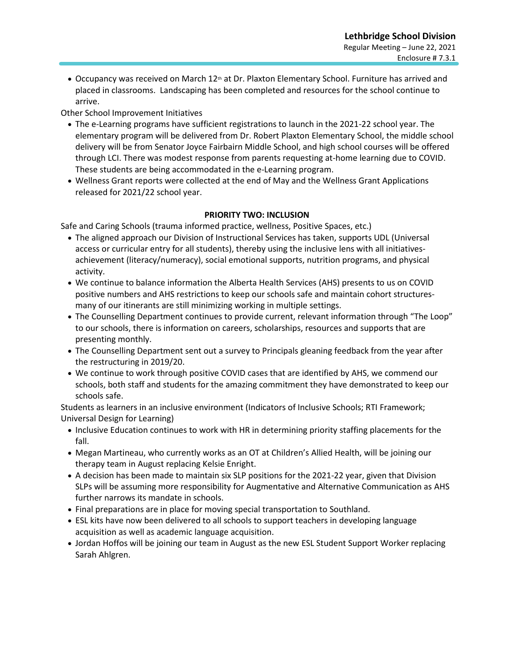• Occupancy was received on March 12<sup>th</sup> at Dr. Plaxton Elementary School. Furniture has arrived and placed in classrooms. Landscaping has been completed and resources for the school continue to arrive.

Other School Improvement Initiatives

- The e-Learning programs have sufficient registrations to launch in the 2021-22 school year. The elementary program will be delivered from Dr. Robert Plaxton Elementary School, the middle school delivery will be from Senator Joyce Fairbairn Middle School, and high school courses will be offered through LCI. There was modest response from parents requesting at-home learning due to COVID. These students are being accommodated in the e-Learning program.
- Wellness Grant reports were collected at the end of May and the Wellness Grant Applications released for 2021/22 school year.

## **PRIORITY TWO: INCLUSION**

Safe and Caring Schools (trauma informed practice, wellness, Positive Spaces, etc.)

- The aligned approach our Division of Instructional Services has taken, supports UDL (Universal access or curricular entry for all students), thereby using the inclusive lens with all initiativesachievement (literacy/numeracy), social emotional supports, nutrition programs, and physical activity.
- We continue to balance information the Alberta Health Services (AHS) presents to us on COVID positive numbers and AHS restrictions to keep our schools safe and maintain cohort structuresmany of our itinerants are still minimizing working in multiple settings.
- The Counselling Department continues to provide current, relevant information through "The Loop" to our schools, there is information on careers, scholarships, resources and supports that are presenting monthly.
- The Counselling Department sent out a survey to Principals gleaning feedback from the year after the restructuring in 2019/20.
- We continue to work through positive COVID cases that are identified by AHS, we commend our schools, both staff and students for the amazing commitment they have demonstrated to keep our schools safe.

Students as learners in an inclusive environment (Indicators of Inclusive Schools; RTI Framework; Universal Design for Learning)

- Inclusive Education continues to work with HR in determining priority staffing placements for the fall.
- Megan Martineau, who currently works as an OT at Children's Allied Health, will be joining our therapy team in August replacing Kelsie Enright.
- A decision has been made to maintain six SLP positions for the 2021-22 year, given that Division SLPs will be assuming more responsibility for Augmentative and Alternative Communication as AHS further narrows its mandate in schools.
- Final preparations are in place for moving special transportation to Southland.
- ESL kits have now been delivered to all schools to support teachers in developing language acquisition as well as academic language acquisition.
- Jordan Hoffos will be joining our team in August as the new ESL Student Support Worker replacing Sarah Ahlgren.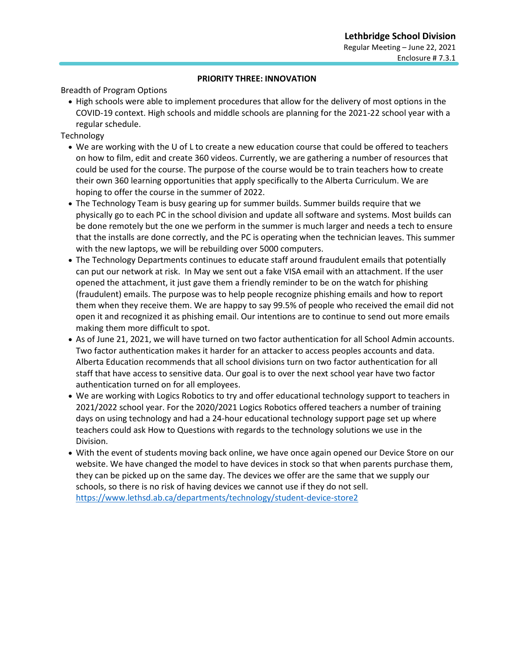#### **PRIORITY THREE: INNOVATION**

Breadth of Program Options

• High schools were able to implement procedures that allow for the delivery of most options in the COVID-19 context. High schools and middle schools are planning for the 2021-22 school year with a regular schedule.

Technology

- We are working with the U of L to create a new education course that could be offered to teachers on how to film, edit and create 360 videos. Currently, we are gathering a number of resources that could be used for the course. The purpose of the course would be to train teachers how to create their own 360 learning opportunities that apply specifically to the Alberta Curriculum. We are hoping to offer the course in the summer of 2022.
- The Technology Team is busy gearing up for summer builds. Summer builds require that we physically go to each PC in the school division and update all software and systems. Most builds can be done remotely but the one we perform in the summer is much larger and needs a tech to ensure that the installs are done correctly, and the PC is operating when the technician leaves. This summer with the new laptops, we will be rebuilding over 5000 computers.
- The Technology Departments continues to educate staff around fraudulent emails that potentially can put our network at risk. In May we sent out a fake VISA email with an attachment. If the user opened the attachment, it just gave them a friendly reminder to be on the watch for phishing (fraudulent) emails. The purpose was to help people recognize phishing emails and how to report them when they receive them. We are happy to say 99.5% of people who received the email did not open it and recognized it as phishing email. Our intentions are to continue to send out more emails making them more difficult to spot.
- As of June 21, 2021, we will have turned on two factor authentication for all School Admin accounts. Two factor authentication makes it harder for an attacker to access peoples accounts and data. Alberta Education recommends that all school divisions turn on two factor authentication for all staff that have access to sensitive data. Our goal is to over the next school year have two factor authentication turned on for all employees.
- We are working with Logics Robotics to try and offer educational technology support to teachers in 2021/2022 school year. For the 2020/2021 Logics Robotics offered teachers a number of training days on using technology and had a 24-hour educational technology support page set up where teachers could ask How to Questions with regards to the technology solutions we use in the Division.
- With the event of students moving back online, we have once again opened our Device Store on our website. We have changed the model to have devices in stock so that when parents purchase them, they can be picked up on the same day. The devices we offer are the same that we supply our schools, so there is no risk of having devices we cannot use if they do not sell. <https://www.lethsd.ab.ca/departments/technology/student-device-store2>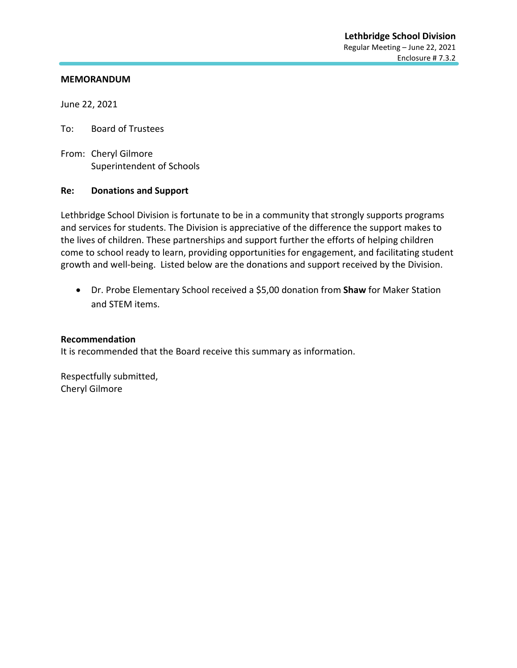June 22, 2021

To: Board of Trustees

From: Cheryl Gilmore Superintendent of Schools

#### **Re: Donations and Support**

Lethbridge School Division is fortunate to be in a community that strongly supports programs and services for students. The Division is appreciative of the difference the support makes to the lives of children. These partnerships and support further the efforts of helping children come to school ready to learn, providing opportunities for engagement, and facilitating student growth and well-being. Listed below are the donations and support received by the Division.

• Dr. Probe Elementary School received a \$5,00 donation from **Shaw** for Maker Station and STEM items.

#### **Recommendation**

It is recommended that the Board receive this summary as information.

Respectfully submitted, Cheryl Gilmore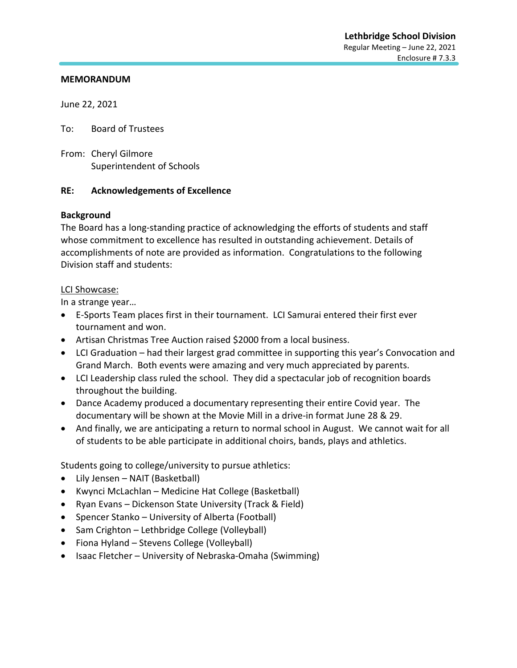June 22, 2021

To: Board of Trustees

From: Cheryl Gilmore Superintendent of Schools

#### **RE: Acknowledgements of Excellence**

#### **Background**

The Board has a long-standing practice of acknowledging the efforts of students and staff whose commitment to excellence has resulted in outstanding achievement. Details of accomplishments of note are provided as information. Congratulations to the following Division staff and students:

#### LCI Showcase:

In a strange year…

- E-Sports Team places first in their tournament. LCI Samurai entered their first ever tournament and won.
- Artisan Christmas Tree Auction raised \$2000 from a local business.
- LCI Graduation had their largest grad committee in supporting this year's Convocation and Grand March. Both events were amazing and very much appreciated by parents.
- LCI Leadership class ruled the school. They did a spectacular job of recognition boards throughout the building.
- Dance Academy produced a documentary representing their entire Covid year. The documentary will be shown at the Movie Mill in a drive-in format June 28 & 29.
- And finally, we are anticipating a return to normal school in August. We cannot wait for all of students to be able participate in additional choirs, bands, plays and athletics.

Students going to college/university to pursue athletics:

- Lily Jensen NAIT (Basketball)
- Kwynci McLachlan Medicine Hat College (Basketball)
- Ryan Evans Dickenson State University (Track & Field)
- Spencer Stanko University of Alberta (Football)
- Sam Crighton Lethbridge College (Volleyball)
- Fiona Hyland Stevens College (Volleyball)
- Isaac Fletcher University of Nebraska-Omaha (Swimming)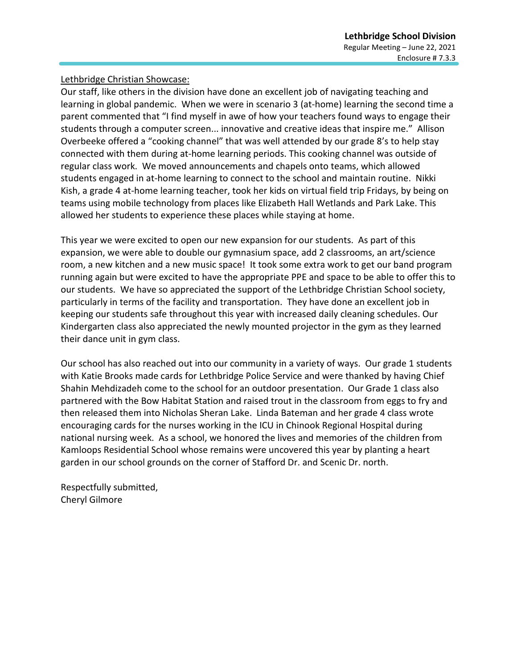Lethbridge Christian Showcase:

Our staff, like others in the division have done an excellent job of navigating teaching and learning in global pandemic. When we were in scenario 3 (at-home) learning the second time a parent commented that "I find myself in awe of how your teachers found ways to engage their students through a computer screen... innovative and creative ideas that inspire me." Allison Overbeeke offered a "cooking channel" that was well attended by our grade 8's to help stay connected with them during at-home learning periods. This cooking channel was outside of regular class work. We moved announcements and chapels onto teams, which allowed students engaged in at-home learning to connect to the school and maintain routine. Nikki Kish, a grade 4 at-home learning teacher, took her kids on virtual field trip Fridays, by being on teams using mobile technology from places like Elizabeth Hall Wetlands and Park Lake. This allowed her students to experience these places while staying at home.

This year we were excited to open our new expansion for our students. As part of this expansion, we were able to double our gymnasium space, add 2 classrooms, an art/science room, a new kitchen and a new music space! It took some extra work to get our band program running again but were excited to have the appropriate PPE and space to be able to offer this to our students. We have so appreciated the support of the Lethbridge Christian School society, particularly in terms of the facility and transportation. They have done an excellent job in keeping our students safe throughout this year with increased daily cleaning schedules. Our Kindergarten class also appreciated the newly mounted projector in the gym as they learned their dance unit in gym class.

Our school has also reached out into our community in a variety of ways. Our grade 1 students with Katie Brooks made cards for Lethbridge Police Service and were thanked by having Chief Shahin Mehdizadeh come to the school for an outdoor presentation. Our Grade 1 class also partnered with the Bow Habitat Station and raised trout in the classroom from eggs to fry and then released them into Nicholas Sheran Lake. Linda Bateman and her grade 4 class wrote encouraging cards for the nurses working in the ICU in Chinook Regional Hospital during national nursing week. As a school, we honored the lives and memories of the children from Kamloops Residential School whose remains were uncovered this year by planting a heart garden in our school grounds on the corner of Stafford Dr. and Scenic Dr. north.

Respectfully submitted, Cheryl Gilmore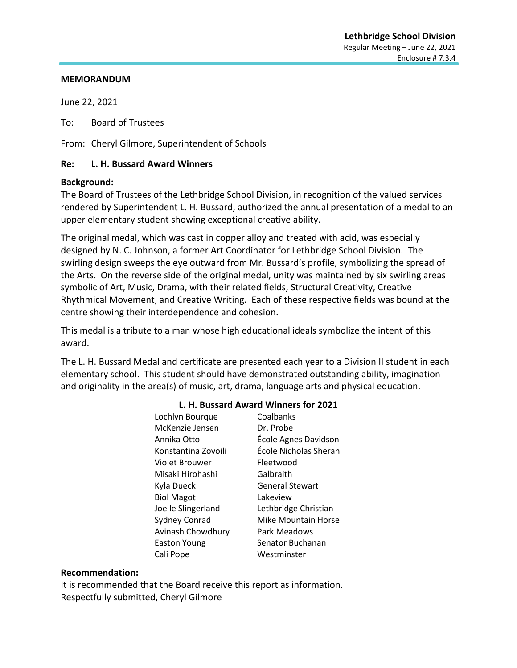June 22, 2021

To: Board of Trustees

From: Cheryl Gilmore, Superintendent of Schools

#### **Re: L. H. Bussard Award Winners**

#### **Background:**

The Board of Trustees of the Lethbridge School Division, in recognition of the valued services rendered by Superintendent L. H. Bussard, authorized the annual presentation of a medal to an upper elementary student showing exceptional creative ability.

The original medal, which was cast in copper alloy and treated with acid, was especially designed by N. C. Johnson, a former Art Coordinator for Lethbridge School Division. The swirling design sweeps the eye outward from Mr. Bussard's profile, symbolizing the spread of the Arts. On the reverse side of the original medal, unity was maintained by six swirling areas symbolic of Art, Music, Drama, with their related fields, Structural Creativity, Creative Rhythmical Movement, and Creative Writing. Each of these respective fields was bound at the centre showing their interdependence and cohesion.

This medal is a tribute to a man whose high educational ideals symbolize the intent of this award.

The L. H. Bussard Medal and certificate are presented each year to a Division II student in each elementary school. This student should have demonstrated outstanding ability, imagination and originality in the area(s) of music, art, drama, language arts and physical education.

| Lochlyn Bourque     | Coalbanks              |
|---------------------|------------------------|
| McKenzie Jensen     | Dr. Probe              |
| Annika Otto         | École Agnes Davidson   |
| Konstantina Zovoili | École Nicholas Sheran  |
| Violet Brouwer      | Fleetwood              |
| Misaki Hirohashi    | Galbraith              |
| Kyla Dueck          | <b>General Stewart</b> |
| <b>Biol Magot</b>   | Lakeview               |
| Joelle Slingerland  | Lethbridge Christian   |
| Sydney Conrad       | Mike Mountain Horse    |
| Avinash Chowdhury   | Park Meadows           |
| <b>Easton Young</b> | Senator Buchanan       |
| Cali Pope           | Westminster            |

## **L. H. Bussard Award Winners for 2021**

#### **Recommendation:**

It is recommended that the Board receive this report as information. Respectfully submitted, Cheryl Gilmore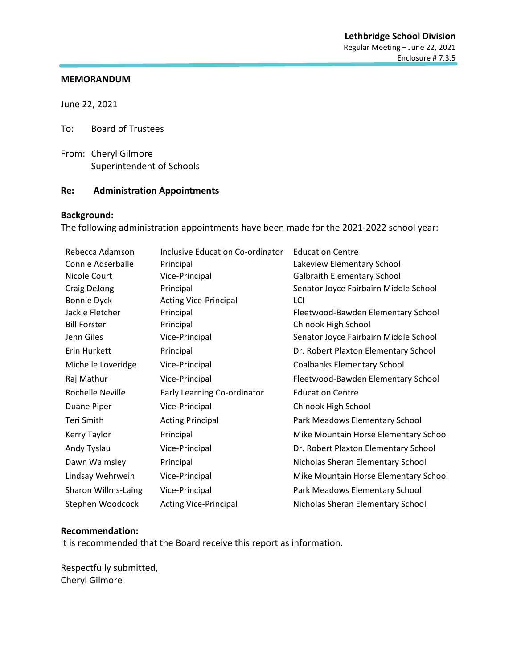June 22, 2021

To: Board of Trustees

From: Cheryl Gilmore Superintendent of Schools

#### **Re: Administration Appointments**

## **Background:**

The following administration appointments have been made for the 2021-2022 school year:

| Rebecca Adamson     | <b>Inclusive Education Co-ordinator</b> | <b>Education Centre</b>               |
|---------------------|-----------------------------------------|---------------------------------------|
| Connie Adserballe   | Principal                               | Lakeview Elementary School            |
| Nicole Court        | Vice-Principal                          | <b>Galbraith Elementary School</b>    |
| Craig DeJong        | Principal                               | Senator Joyce Fairbairn Middle School |
| <b>Bonnie Dyck</b>  | <b>Acting Vice-Principal</b>            | LCI                                   |
| Jackie Fletcher     | Principal                               | Fleetwood-Bawden Elementary School    |
| <b>Bill Forster</b> | Principal                               | Chinook High School                   |
| Jenn Giles          | Vice-Principal                          | Senator Joyce Fairbairn Middle School |
| Erin Hurkett        | Principal                               | Dr. Robert Plaxton Elementary School  |
| Michelle Loveridge  | Vice-Principal                          | <b>Coalbanks Elementary School</b>    |
| Raj Mathur          | Vice-Principal                          | Fleetwood-Bawden Elementary School    |
| Rochelle Neville    | Early Learning Co-ordinator             | <b>Education Centre</b>               |
| Duane Piper         | Vice-Principal                          | Chinook High School                   |
| Teri Smith          | <b>Acting Principal</b>                 | Park Meadows Elementary School        |
| Kerry Taylor        | Principal                               | Mike Mountain Horse Elementary School |
| Andy Tyslau         | Vice-Principal                          | Dr. Robert Plaxton Elementary School  |
| Dawn Walmsley       | Principal                               | Nicholas Sheran Elementary School     |
| Lindsay Wehrwein    | Vice-Principal                          | Mike Mountain Horse Elementary School |
| Sharon Willms-Laing | Vice-Principal                          | Park Meadows Elementary School        |
| Stephen Woodcock    | <b>Acting Vice-Principal</b>            | Nicholas Sheran Elementary School     |

#### **Recommendation:**

It is recommended that the Board receive this report as information.

Respectfully submitted, Cheryl Gilmore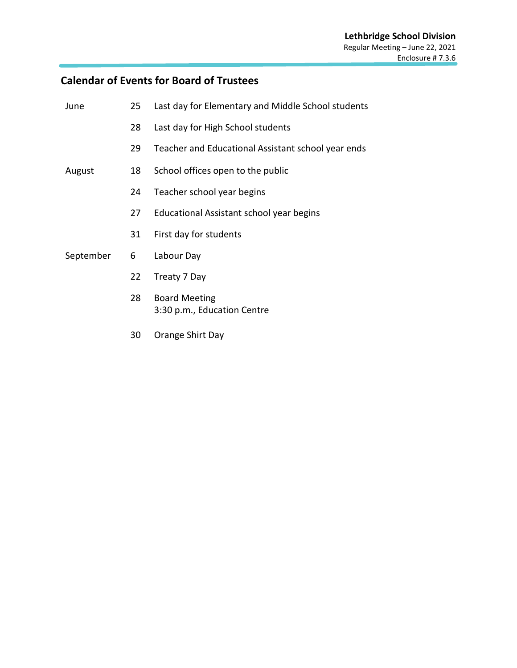# **Calendar of Events for Board of Trustees**

| June      | 25 | Last day for Elementary and Middle School students  |
|-----------|----|-----------------------------------------------------|
|           | 28 | Last day for High School students                   |
|           | 29 | Teacher and Educational Assistant school year ends  |
| August    | 18 | School offices open to the public                   |
|           | 24 | Teacher school year begins                          |
|           | 27 | Educational Assistant school year begins            |
|           | 31 | First day for students                              |
| September | 6  | Labour Day                                          |
|           | 22 | Treaty 7 Day                                        |
|           | 28 | <b>Board Meeting</b><br>3:30 p.m., Education Centre |
|           |    |                                                     |

30 Orange Shirt Day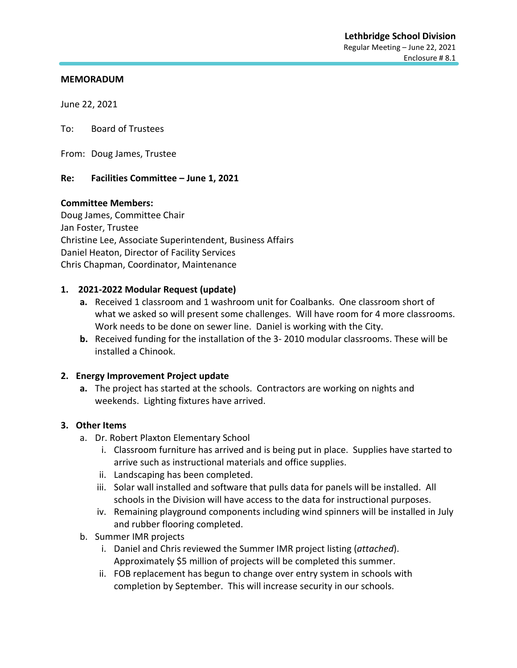June 22, 2021

To: Board of Trustees

From: Doug James, Trustee

#### **Re: Facilities Committee – June 1, 2021**

#### **Committee Members:**

Doug James, Committee Chair Jan Foster, Trustee Christine Lee, Associate Superintendent, Business Affairs Daniel Heaton, Director of Facility Services Chris Chapman, Coordinator, Maintenance

#### **1. 2021-2022 Modular Request (update)**

- **a.** Received 1 classroom and 1 washroom unit for Coalbanks. One classroom short of what we asked so will present some challenges. Will have room for 4 more classrooms. Work needs to be done on sewer line. Daniel is working with the City.
- **b.** Received funding for the installation of the 3- 2010 modular classrooms. These will be installed a Chinook.

#### **2. Energy Improvement Project update**

**a.** The project has started at the schools. Contractors are working on nights and weekends. Lighting fixtures have arrived.

#### **3. Other Items**

- a. Dr. Robert Plaxton Elementary School
	- i. Classroom furniture has arrived and is being put in place. Supplies have started to arrive such as instructional materials and office supplies.
	- ii. Landscaping has been completed.
	- iii. Solar wall installed and software that pulls data for panels will be installed. All schools in the Division will have access to the data for instructional purposes.
	- iv. Remaining playground components including wind spinners will be installed in July and rubber flooring completed.
- b. Summer IMR projects
	- i. Daniel and Chris reviewed the Summer IMR project listing (*attached*). Approximately \$5 million of projects will be completed this summer.
	- ii. FOB replacement has begun to change over entry system in schools with completion by September. This will increase security in our schools.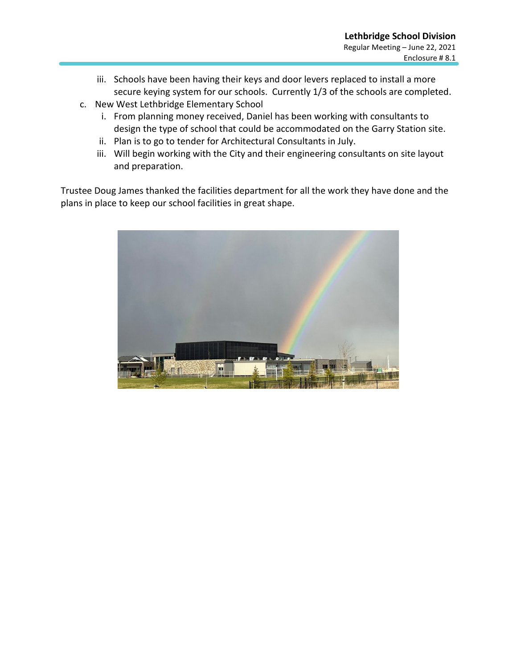- iii. Schools have been having their keys and door levers replaced to install a more secure keying system for our schools. Currently 1/3 of the schools are completed.
- c. New West Lethbridge Elementary School
	- i. From planning money received, Daniel has been working with consultants to design the type of school that could be accommodated on the Garry Station site.
	- ii. Plan is to go to tender for Architectural Consultants in July.
	- iii. Will begin working with the City and their engineering consultants on site layout and preparation.

Trustee Doug James thanked the facilities department for all the work they have done and the plans in place to keep our school facilities in great shape.

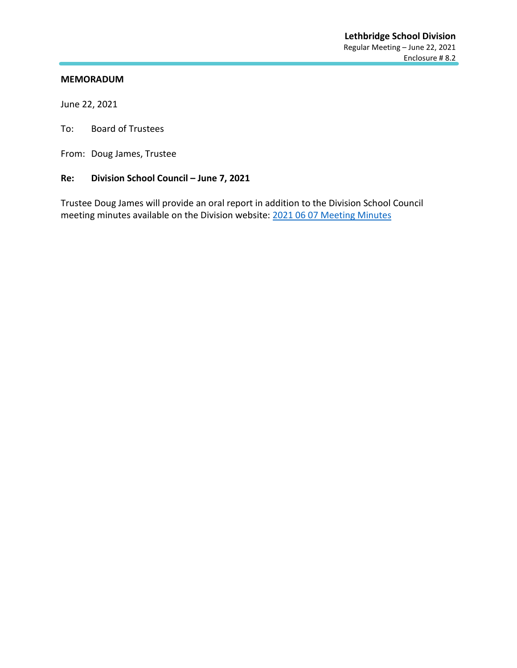June 22, 2021

To: Board of Trustees

From: Doug James, Trustee

## **Re: Division School Council – June 7, 2021**

Trustee Doug James will provide an oral report in addition to the Division School Council meeting minutes available on the Division website: [2021 06 07 Meeting Minutes](https://www.lethsd.ab.ca/download/350766)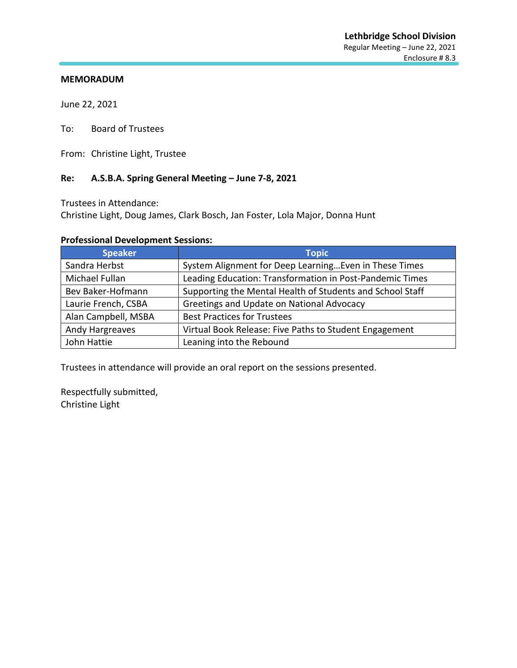June 22, 2021

To: Board of Trustees

From: Christine Light, Trustee

## **Re: A.S.B.A. Spring General Meeting – June 7-8, 2021**

Trustees in Attendance:

Christine Light, Doug James, Clark Bosch, Jan Foster, Lola Major, Donna Hunt

## **Professional Development Sessions:**

| <b>Speaker</b>      | <b>Topic</b>                                              |
|---------------------|-----------------------------------------------------------|
| Sandra Herbst       | System Alignment for Deep Learning Even in These Times    |
| Michael Fullan      | Leading Education: Transformation in Post-Pandemic Times  |
| Bev Baker-Hofmann   | Supporting the Mental Health of Students and School Staff |
| Laurie French, CSBA | Greetings and Update on National Advocacy                 |
| Alan Campbell, MSBA | <b>Best Practices for Trustees</b>                        |
| Andy Hargreaves     | Virtual Book Release: Five Paths to Student Engagement    |
| John Hattie         | Leaning into the Rebound                                  |

Trustees in attendance will provide an oral report on the sessions presented.

Respectfully submitted, Christine Light